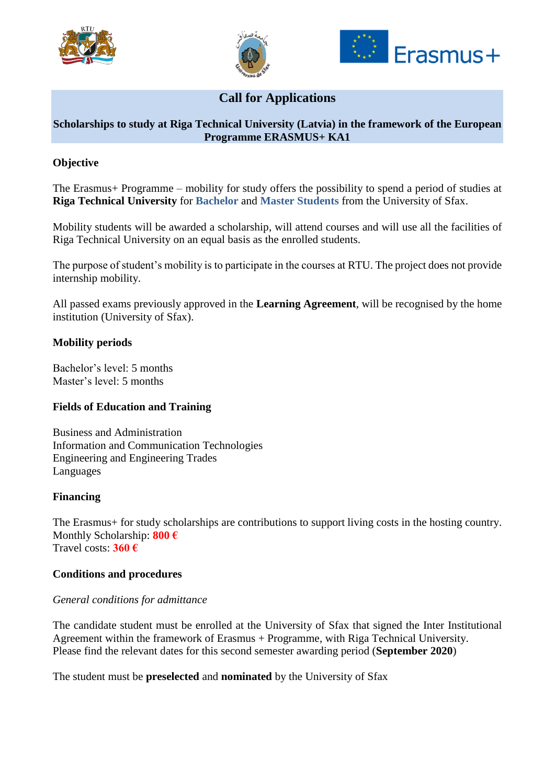





# **Call for Applications**

# **Scholarships to study at Riga Technical University (Latvia) in the framework of the European Programme ERASMUS+ KA1**

# **Objective**

The Erasmus+ Programme – mobility for study offers the possibility to spend a period of studies at **Riga Technical University** for **Bachelor** and **Master Students** from the University of Sfax.

Mobility students will be awarded a scholarship, will attend courses and will use all the facilities of Riga Technical University on an equal basis as the enrolled students.

The purpose of student's mobility is to participate in the courses at RTU. The project does not provide internship mobility.

All passed exams previously approved in the **Learning Agreement**, will be recognised by the home institution (University of Sfax).

## **Mobility periods**

Bachelor's level: 5 months Master's level: 5 months

## **Fields of Education and Training**

Business and Administration Information and Communication Technologies Engineering and Engineering Trades Languages

#### **Financing**

The Erasmus+ for study scholarships are contributions to support living costs in the hosting country. Monthly Scholarship: **800 €** Travel costs: **360 €**

#### **Conditions and procedures**

## *General conditions for admittance*

The candidate student must be enrolled at the University of Sfax that signed the Inter Institutional Agreement within the framework of Erasmus + Programme, with Riga Technical University. Please find the relevant dates for this second semester awarding period (**September 2020**)

The student must be **preselected** and **nominated** by the University of Sfax